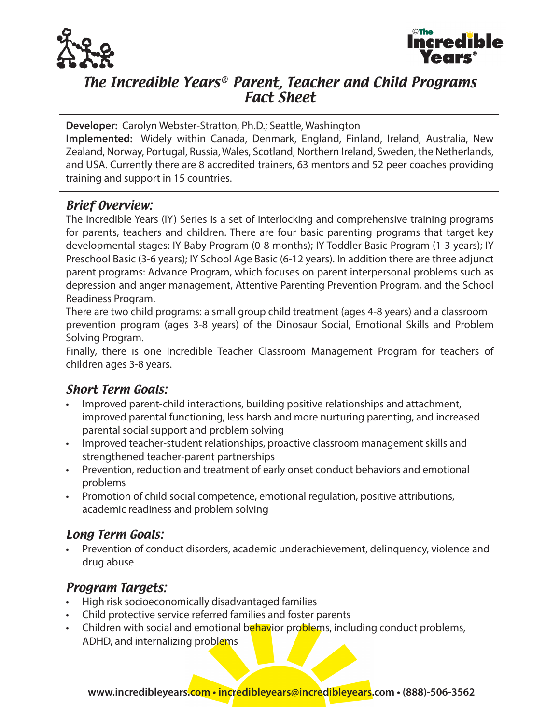



# The Incredible Years® Parent, Teacher and Child Programs Fact Sheet

**Developer:** Carolyn Webster-Stratton, Ph.D.; Seattle, Washington **Implemented:**Widely within Canada, Denmark, England, Finland, Ireland, Australia, New Zealand, Norway, Portugal, Russia, Wales, Scotland, Northern Ireland, Sweden, the Netherlands, and USA. Currently there are 8 accredited trainers, 63 mentors and 52 peer coaches providing training and support in 15 countries.

#### Brief Overview:

The Incredible Years (IY) Series is a set of interlocking and comprehensive training programs for parents, teachers and children. There are four basic parenting programs that target key developmental stages: IY Baby Program (0-8 months); IY Toddler Basic Program (1-3 years); IY Preschool Basic (3-6 years); IY School Age Basic (6-12 years). In addition there are three adjunct parent programs: Advance Program, which focuses on parent interpersonal problems such as depression and anger management, Attentive Parenting Prevention Program, and the School Readiness Program.

There are two child programs: a small group child treatment (ages 4-8 years) and a classroom prevention program (ages 3-8 years) of the Dinosaur Social, Emotional Skills and Problem Solving Program.

Finally, there is one Incredible Teacher Classroom Management Program for teachers of children ages 3-8 years.

### Short Term Goals:

- Improved parent-child interactions, building positive relationships and attachment, improved parental functioning, less harsh and more nurturing parenting, and increased parental social support and problem solving
- Improved teacher-student relationships, proactive classroom management skills and strengthened teacher-parent partnerships
- Prevention, reduction and treatment of early onset conduct behaviors and emotional problems
- Promotion of child social competence, emotional regulation, positive attributions, academic readiness and problem solving

### Long Term Goals:

Prevention of conduct disorders, academic underachievement, delinquency, violence and drug abuse

### Program Targets:

- High risk socioeconomically disadvantaged families
- • Child protective service referred families and foster parents
- Children with social and emotional behavior problems, including conduct problems, ADHD, and internalizing problems